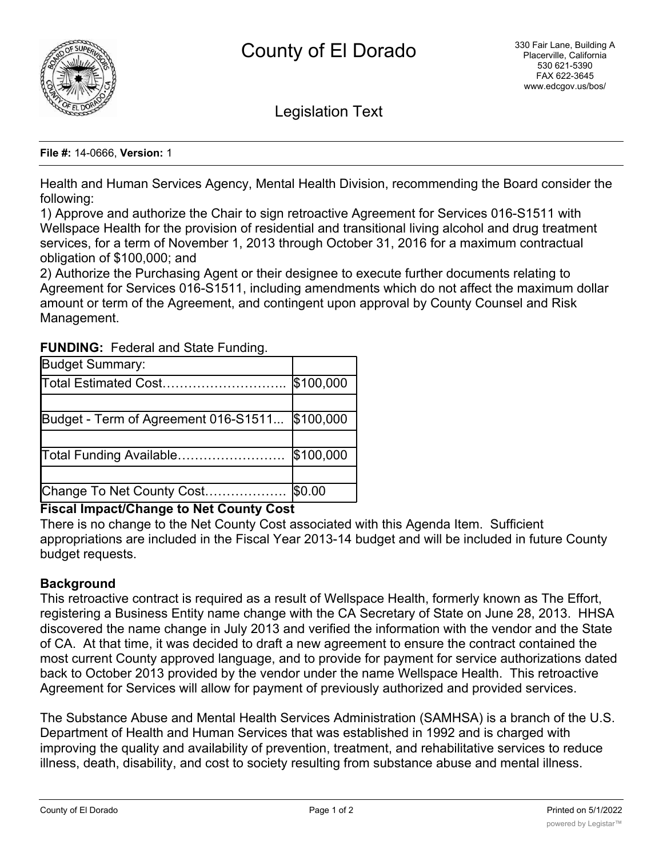

Legislation Text

### **File #:** 14-0666, **Version:** 1

Health and Human Services Agency, Mental Health Division, recommending the Board consider the following:

1) Approve and authorize the Chair to sign retroactive Agreement for Services 016-S1511 with Wellspace Health for the provision of residential and transitional living alcohol and drug treatment services, for a term of November 1, 2013 through October 31, 2016 for a maximum contractual obligation of \$100,000; and

2) Authorize the Purchasing Agent or their designee to execute further documents relating to Agreement for Services 016-S1511, including amendments which do not affect the maximum dollar amount or term of the Agreement, and contingent upon approval by County Counsel and Risk Management.

| <b>Budget Summary:</b>               |           |
|--------------------------------------|-----------|
| Total Estimated Cost                 | \$100,000 |
|                                      |           |
| Budget - Term of Agreement 016-S1511 | \$100,000 |
|                                      |           |
| Total Funding Available              | \$100,000 |
|                                      |           |
| Change To Net County Cost            | \$0.00    |

# **FUNDING:** Federal and State Funding.

# **Fiscal Impact/Change to Net County Cost**

There is no change to the Net County Cost associated with this Agenda Item. Sufficient appropriations are included in the Fiscal Year 2013-14 budget and will be included in future County budget requests.

# **Background**

This retroactive contract is required as a result of Wellspace Health, formerly known as The Effort, registering a Business Entity name change with the CA Secretary of State on June 28, 2013. HHSA discovered the name change in July 2013 and verified the information with the vendor and the State of CA. At that time, it was decided to draft a new agreement to ensure the contract contained the most current County approved language, and to provide for payment for service authorizations dated back to October 2013 provided by the vendor under the name Wellspace Health. This retroactive Agreement for Services will allow for payment of previously authorized and provided services.

The Substance Abuse and Mental Health Services Administration (SAMHSA) is a branch of the U.S. Department of Health and Human Services that was established in 1992 and is charged with improving the quality and availability of prevention, treatment, and rehabilitative services to reduce illness, death, disability, and cost to society resulting from substance abuse and mental illness.